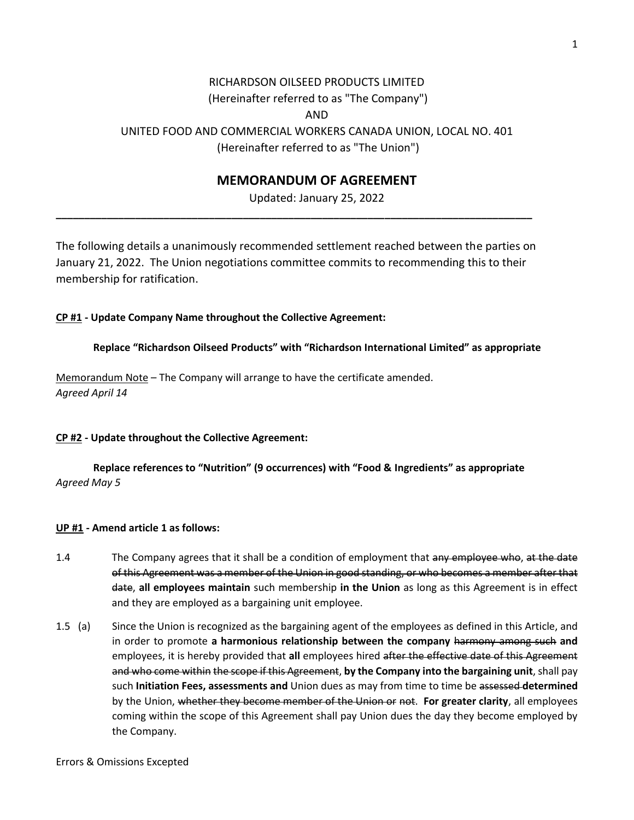# RICHARDSON OILSEED PRODUCTS LIMITED (Hereinafter referred to as "The Company") AND UNITED FOOD AND COMMERCIAL WORKERS CANADA UNION, LOCAL NO. 401 (Hereinafter referred to as "The Union")

## **MEMORANDUM OF AGREEMENT**

Updated: January 25, 2022

The following details a unanimously recommended settlement reached between the parties on January 21, 2022. The Union negotiations committee commits to recommending this to their membership for ratification.

**\_\_\_\_\_\_\_\_\_\_\_\_\_\_\_\_\_\_\_\_\_\_\_\_\_\_\_\_\_\_\_\_\_\_\_\_\_\_\_\_\_\_\_\_\_\_\_\_\_\_\_\_\_\_\_\_\_\_\_\_\_\_\_\_\_\_\_\_\_\_\_\_\_\_\_\_\_\_\_\_\_\_\_\_**

#### **CP #1 - Update Company Name throughout the Collective Agreement:**

**Replace "Richardson Oilseed Products" with "Richardson International Limited" as appropriate**

Memorandum Note – The Company will arrange to have the certificate amended. *Agreed April 14*

#### **CP #2 - Update throughout the Collective Agreement:**

**Replace references to "Nutrition" (9 occurrences) with "Food & Ingredients" as appropriate** *Agreed May 5*

#### **UP #1 - Amend article 1 as follows:**

- 1.4 The Company agrees that it shall be a condition of employment that any employee who, at the date of this Agreement was a member of the Union in good standing, or who becomes a member after that date, **all employees maintain** such membership **in the Union** as long as this Agreement is in effect and they are employed as a bargaining unit employee.
- 1.5 (a) Since the Union is recognized as the bargaining agent of the employees as defined in this Article, and in order to promote **a harmonious relationship between the company** harmony among such **and** employees, it is hereby provided that **all** employees hired after the effective date of this Agreement and who come within the scope if this Agreement, **by the Company into the bargaining unit**, shall pay such **Initiation Fees, assessments and** Union dues as may from time to time be assessed **determined** by the Union, whether they become member of the Union or not. **For greater clarity**, all employees coming within the scope of this Agreement shall pay Union dues the day they become employed by the Company.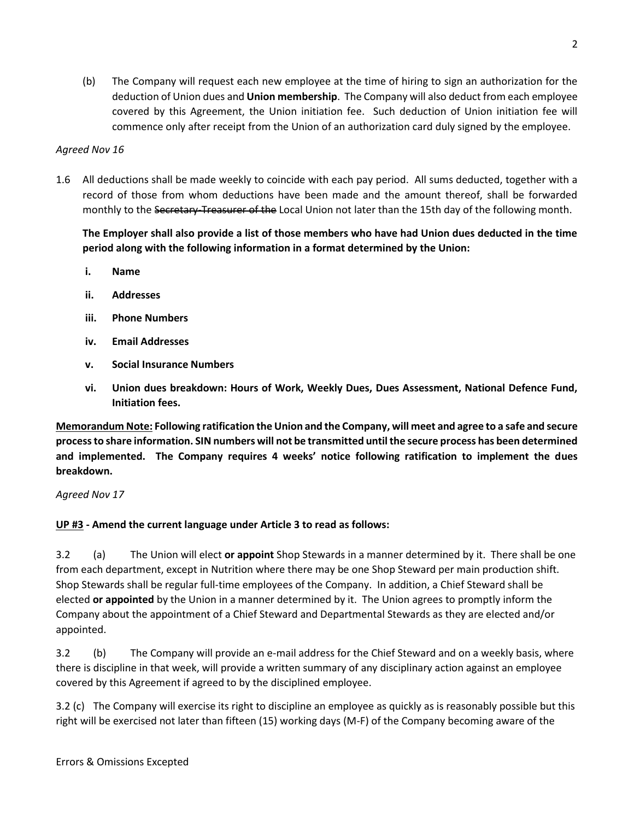(b) The Company will request each new employee at the time of hiring to sign an authorization for the deduction of Union dues and **Union membership**. The Company will also deduct from each employee covered by this Agreement, the Union initiation fee. Such deduction of Union initiation fee will commence only after receipt from the Union of an authorization card duly signed by the employee.

## *Agreed Nov 16*

1.6 All deductions shall be made weekly to coincide with each pay period. All sums deducted, together with a record of those from whom deductions have been made and the amount thereof, shall be forwarded monthly to the Secretary-Treasurer of the Local Union not later than the 15th day of the following month.

**The Employer shall also provide a list of those members who have had Union dues deducted in the time period along with the following information in a format determined by the Union:**

- **i. Name**
- **ii. Addresses**
- **iii. Phone Numbers**
- **iv. Email Addresses**
- **v. Social Insurance Numbers**
- **vi. Union dues breakdown: Hours of Work, Weekly Dues, Dues Assessment, National Defence Fund, Initiation fees.**

**Memorandum Note: Following ratification the Union and the Company, will meet and agree to a safe and secure process to share information. SIN numbers will not be transmitted until the secure process has been determined and implemented. The Company requires 4 weeks' notice following ratification to implement the dues breakdown.**

*Agreed Nov 17*

## **UP #3 - Amend the current language under Article 3 to read as follows:**

3.2 (a) The Union will elect **or appoint** Shop Stewards in a manner determined by it. There shall be one from each department, except in Nutrition where there may be one Shop Steward per main production shift. Shop Stewards shall be regular full-time employees of the Company. In addition, a Chief Steward shall be elected **or appointed** by the Union in a manner determined by it. The Union agrees to promptly inform the Company about the appointment of a Chief Steward and Departmental Stewards as they are elected and/or appointed.

3.2 (b) The Company will provide an e-mail address for the Chief Steward and on a weekly basis, where there is discipline in that week, will provide a written summary of any disciplinary action against an employee covered by this Agreement if agreed to by the disciplined employee.

3.2 (c) The Company will exercise its right to discipline an employee as quickly as is reasonably possible but this right will be exercised not later than fifteen (15) working days (M-F) of the Company becoming aware of the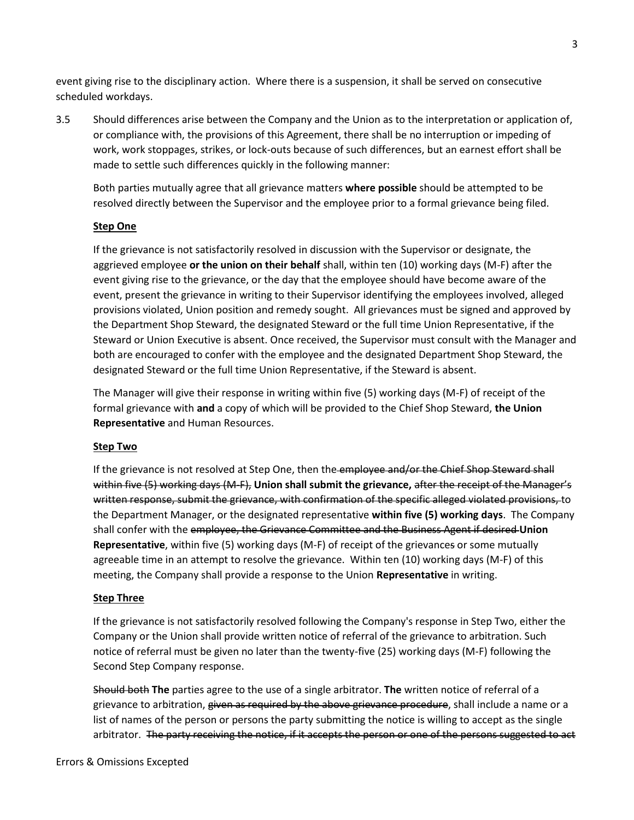event giving rise to the disciplinary action. Where there is a suspension, it shall be served on consecutive scheduled workdays.

3.5 Should differences arise between the Company and the Union as to the interpretation or application of, or compliance with, the provisions of this Agreement, there shall be no interruption or impeding of work, work stoppages, strikes, or lock-outs because of such differences, but an earnest effort shall be made to settle such differences quickly in the following manner:

Both parties mutually agree that all grievance matters **where possible** should be attempted to be resolved directly between the Supervisor and the employee prior to a formal grievance being filed.

## **Step One**

If the grievance is not satisfactorily resolved in discussion with the Supervisor or designate, the aggrieved employee **or the union on their behalf** shall, within ten (10) working days (M-F) after the event giving rise to the grievance, or the day that the employee should have become aware of the event, present the grievance in writing to their Supervisor identifying the employees involved, alleged provisions violated, Union position and remedy sought. All grievances must be signed and approved by the Department Shop Steward, the designated Steward or the full time Union Representative, if the Steward or Union Executive is absent. Once received, the Supervisor must consult with the Manager and both are encouraged to confer with the employee and the designated Department Shop Steward, the designated Steward or the full time Union Representative, if the Steward is absent.

The Manager will give their response in writing within five (5) working days (M-F) of receipt of the formal grievance with **and** a copy of which will be provided to the Chief Shop Steward, **the Union Representative** and Human Resources.

## **Step Two**

If the grievance is not resolved at Step One, then the employee and/or the Chief Shop Steward shall within five (5) working days (M-F), **Union shall submit the grievance,** after the receipt of the Manager's written response, submit the grievance, with confirmation of the specific alleged violated provisions, to the Department Manager, or the designated representative **within five (5) working days**. The Company shall confer with the employee, the Grievance Committee and the Business Agent if desired **Union Representative**, within five (5) working days (M-F) of receipt of the grievances or some mutually agreeable time in an attempt to resolve the grievance. Within ten (10) working days (M-F) of this meeting, the Company shall provide a response to the Union **Representative** in writing.

## **Step Three**

If the grievance is not satisfactorily resolved following the Company's response in Step Two, either the Company or the Union shall provide written notice of referral of the grievance to arbitration. Such notice of referral must be given no later than the twenty-five (25) working days (M-F) following the Second Step Company response.

Should both **The** parties agree to the use of a single arbitrator. **The** written notice of referral of a grievance to arbitration, given as required by the above grievance procedure, shall include a name or a list of names of the person or persons the party submitting the notice is willing to accept as the single arbitrator. The party receiving the notice, if it accepts the person or one of the persons suggested to act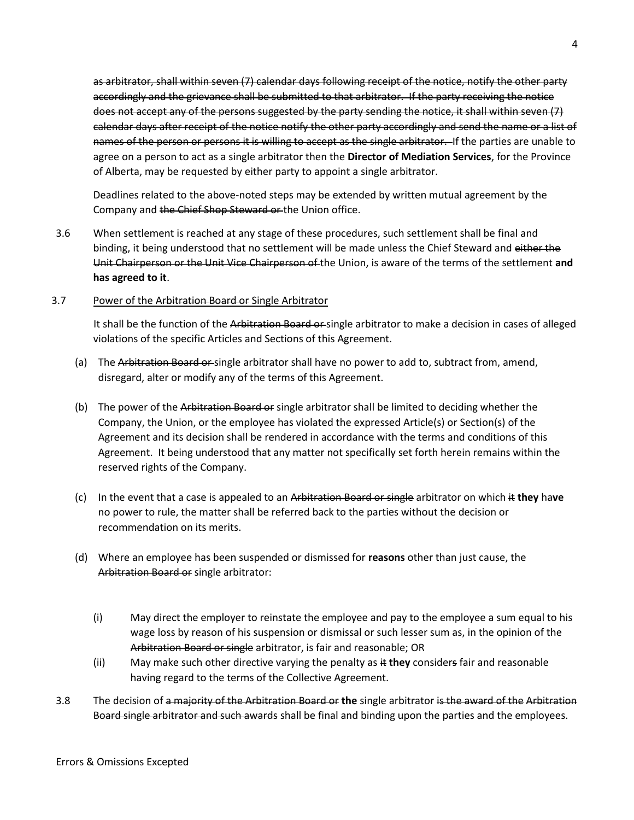as arbitrator, shall within seven (7) calendar days following receipt of the notice, notify the other party accordingly and the grievance shall be submitted to that arbitrator. If the party receiving the notice does not accept any of the persons suggested by the party sending the notice, it shall within seven (7) calendar days after receipt of the notice notify the other party accordingly and send the name or a list of names of the person or persons it is willing to accept as the single arbitrator. If the parties are unable to agree on a person to act as a single arbitrator then the **Director of Mediation Services**, for the Province of Alberta, may be requested by either party to appoint a single arbitrator.

Deadlines related to the above-noted steps may be extended by written mutual agreement by the Company and the Chief Shop Steward or the Union office.

- 3.6 When settlement is reached at any stage of these procedures, such settlement shall be final and binding, it being understood that no settlement will be made unless the Chief Steward and either the Unit Chairperson or the Unit Vice Chairperson of the Union, is aware of the terms of the settlement **and has agreed to it**.
- 3.7 Power of the Arbitration Board or Single Arbitrator

It shall be the function of the Arbitration Board or single arbitrator to make a decision in cases of alleged violations of the specific Articles and Sections of this Agreement.

- (a) The Arbitration Board or single arbitrator shall have no power to add to, subtract from, amend, disregard, alter or modify any of the terms of this Agreement.
- (b) The power of the Arbitration Board or single arbitrator shall be limited to deciding whether the Company, the Union, or the employee has violated the expressed Article(s) or Section(s) of the Agreement and its decision shall be rendered in accordance with the terms and conditions of this Agreement. It being understood that any matter not specifically set forth herein remains within the reserved rights of the Company.
- (c) In the event that a case is appealed to an Arbitration Board or single arbitrator on which it **they** ha**ve**  no power to rule, the matter shall be referred back to the parties without the decision or recommendation on its merits.
- (d) Where an employee has been suspended or dismissed for **reasons** other than just cause, the Arbitration Board or single arbitrator:
	- (i) May direct the employer to reinstate the employee and pay to the employee a sum equal to his wage loss by reason of his suspension or dismissal or such lesser sum as, in the opinion of the Arbitration Board or single arbitrator, is fair and reasonable; OR
	- (ii) May make such other directive varying the penalty as it **they** considers fair and reasonable having regard to the terms of the Collective Agreement.
- 3.8 The decision of a majority of the Arbitration Board or **the** single arbitrator is the award of the Arbitration Board single arbitrator and such awards shall be final and binding upon the parties and the employees.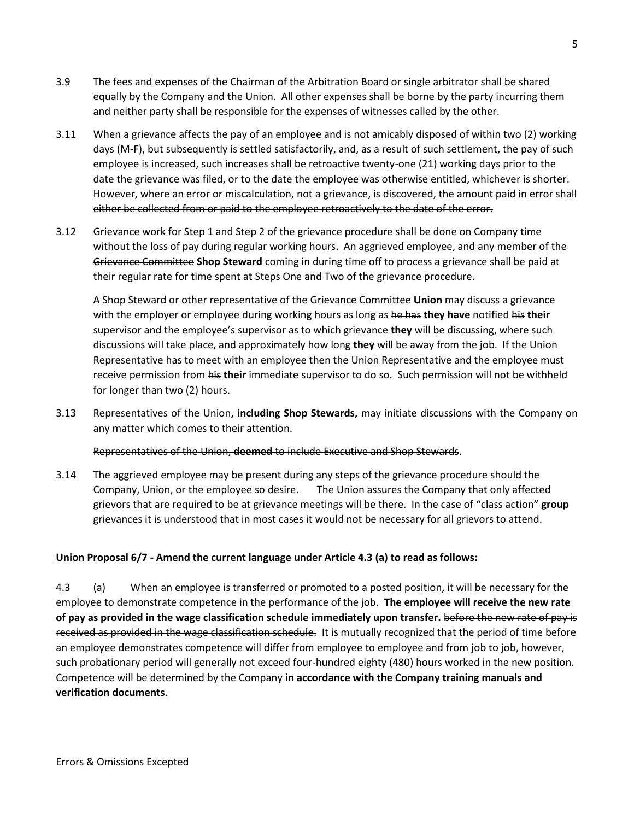- 3.9 The fees and expenses of the Chairman of the Arbitration Board or single arbitrator shall be shared equally by the Company and the Union. All other expenses shall be borne by the party incurring them and neither party shall be responsible for the expenses of witnesses called by the other.
- 3.11 When a grievance affects the pay of an employee and is not amicably disposed of within two (2) working days (M-F), but subsequently is settled satisfactorily, and, as a result of such settlement, the pay of such employee is increased, such increases shall be retroactive twenty-one (21) working days prior to the date the grievance was filed, or to the date the employee was otherwise entitled, whichever is shorter. However, where an error or miscalculation, not a grievance, is discovered, the amount paid in error shall either be collected from or paid to the employee retroactively to the date of the error.
- 3.12 Grievance work for Step 1 and Step 2 of the grievance procedure shall be done on Company time without the loss of pay during regular working hours. An aggrieved employee, and any member of the Grievance Committee **Shop Steward** coming in during time off to process a grievance shall be paid at their regular rate for time spent at Steps One and Two of the grievance procedure.

A Shop Steward or other representative of the Grievance Committee **Union** may discuss a grievance with the employer or employee during working hours as long as he has **they have** notified his **their** supervisor and the employee's supervisor as to which grievance **they** will be discussing, where such discussions will take place, and approximately how long **they** will be away from the job. If the Union Representative has to meet with an employee then the Union Representative and the employee must receive permission from his **their** immediate supervisor to do so. Such permission will not be withheld for longer than two (2) hours.

3.13 Representatives of the Union**, including Shop Stewards,** may initiate discussions with the Company on any matter which comes to their attention.

Representatives of the Union, **deemed** to include Executive and Shop Stewards.

3.14 The aggrieved employee may be present during any steps of the grievance procedure should the Company, Union, or the employee so desire. The Union assures the Company that only affected grievors that are required to be at grievance meetings will be there. In the case of "class action" **group** grievances it is understood that in most cases it would not be necessary for all grievors to attend.

## **Union Proposal 6/7 - Amend the current language under Article 4.3 (a) to read as follows:**

4.3 (a) When an employee is transferred or promoted to a posted position, it will be necessary for the employee to demonstrate competence in the performance of the job. **The employee will receive the new rate of pay as provided in the wage classification schedule immediately upon transfer.** before the new rate of pay is received as provided in the wage classification schedule. It is mutually recognized that the period of time before an employee demonstrates competence will differ from employee to employee and from job to job, however, such probationary period will generally not exceed four-hundred eighty (480) hours worked in the new position. Competence will be determined by the Company **in accordance with the Company training manuals and verification documents**.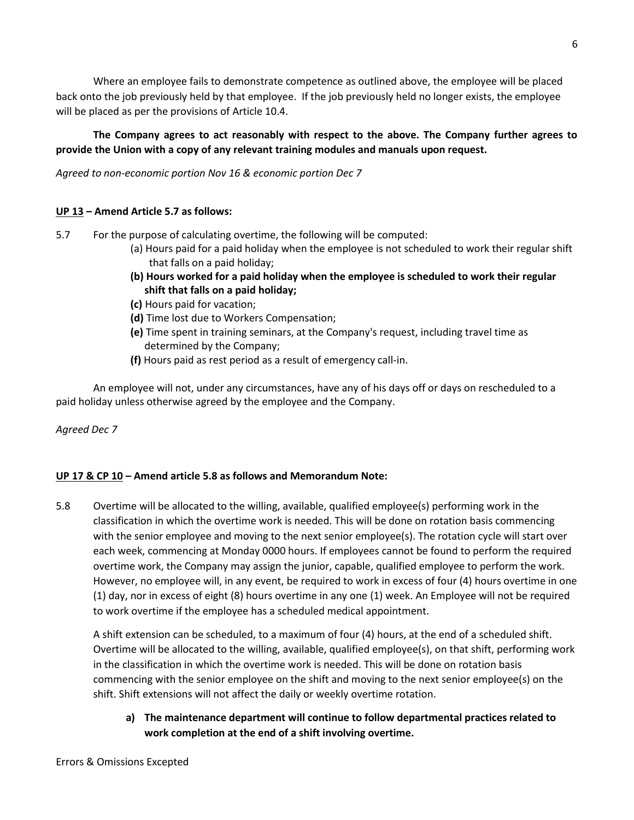Where an employee fails to demonstrate competence as outlined above, the employee will be placed back onto the job previously held by that employee. If the job previously held no longer exists, the employee will be placed as per the provisions of Article 10.4.

## **The Company agrees to act reasonably with respect to the above. The Company further agrees to provide the Union with a copy of any relevant training modules and manuals upon request.**

*Agreed to non-economic portion Nov 16 & economic portion Dec 7*

## **UP 13 – Amend Article 5.7 as follows:**

- 5.7 For the purpose of calculating overtime, the following will be computed:
	- (a) Hours paid for a paid holiday when the employee is not scheduled to work their regular shift that falls on a paid holiday;
	- **(b) Hours worked for a paid holiday when the employee is scheduled to work their regular shift that falls on a paid holiday;**
	- **(c)** Hours paid for vacation;
	- **(d)** Time lost due to Workers Compensation;
	- **(e)** Time spent in training seminars, at the Company's request, including travel time as determined by the Company;
	- **(f)** Hours paid as rest period as a result of emergency call-in.

An employee will not, under any circumstances, have any of his days off or days on rescheduled to a paid holiday unless otherwise agreed by the employee and the Company.

*Agreed Dec 7*

## **UP 17 & CP 10 – Amend article 5.8 as follows and Memorandum Note:**

5.8 Overtime will be allocated to the willing, available, qualified employee(s) performing work in the classification in which the overtime work is needed. This will be done on rotation basis commencing with the senior employee and moving to the next senior employee(s). The rotation cycle will start over each week, commencing at Monday 0000 hours. If employees cannot be found to perform the required overtime work, the Company may assign the junior, capable, qualified employee to perform the work. However, no employee will, in any event, be required to work in excess of four (4) hours overtime in one (1) day, nor in excess of eight (8) hours overtime in any one (1) week. An Employee will not be required to work overtime if the employee has a scheduled medical appointment.

A shift extension can be scheduled, to a maximum of four (4) hours, at the end of a scheduled shift. Overtime will be allocated to the willing, available, qualified employee(s), on that shift, performing work in the classification in which the overtime work is needed. This will be done on rotation basis commencing with the senior employee on the shift and moving to the next senior employee(s) on the shift. Shift extensions will not affect the daily or weekly overtime rotation.

**a) The maintenance department will continue to follow departmental practices related to work completion at the end of a shift involving overtime.**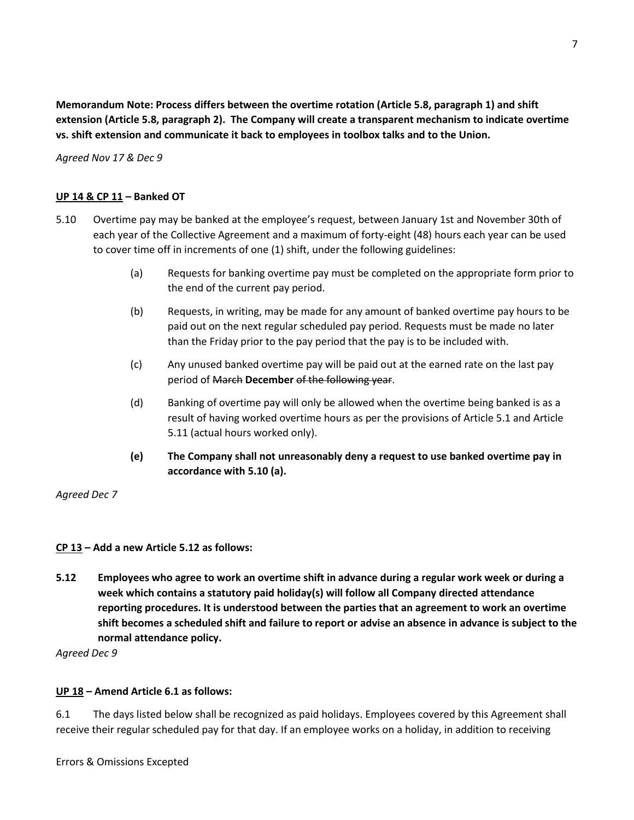**Memorandum Note: Process differs between the overtime rotation (Article 5.8, paragraph 1) and shift extension (Article 5.8, paragraph 2). The Company will create a transparent mechanism to indicate overtime vs. shift extension and communicate it back to employees in toolbox talks and to the Union.**

*Agreed Nov 17 & Dec 9*

## **UP 14 & CP 11 – Banked OT**

- 5.10 Overtime pay may be banked at the employee's request, between January 1st and November 30th of each year of the Collective Agreement and a maximum of forty-eight (48) hours each year can be used to cover time off in increments of one (1) shift, under the following guidelines:
	- (a) Requests for banking overtime pay must be completed on the appropriate form prior to the end of the current pay period.
	- (b) Requests, in writing, may be made for any amount of banked overtime pay hours to be paid out on the next regular scheduled pay period. Requests must be made no later than the Friday prior to the pay period that the pay is to be included with.
	- (c) Any unused banked overtime pay will be paid out at the earned rate on the last pay period of March **December** of the following year.
	- (d) Banking of overtime pay will only be allowed when the overtime being banked is as a result of having worked overtime hours as per the provisions of Article 5.1 and Article 5.11 (actual hours worked only).
	- **(e) The Company shall not unreasonably deny a request to use banked overtime pay in accordance with 5.10 (a).**

*Agreed Dec 7*

## **CP 13 – Add a new Article 5.12 as follows:**

**5.12 Employees who agree to work an overtime shift in advance during a regular work week or during a week which contains a statutory paid holiday(s) will follow all Company directed attendance reporting procedures. It is understood between the parties that an agreement to work an overtime shift becomes a scheduled shift and failure to report or advise an absence in advance is subject to the normal attendance policy.** 

*Agreed Dec 9*

## **UP 18 – Amend Article 6.1 as follows:**

6.1 The days listed below shall be recognized as paid holidays. Employees covered by this Agreement shall receive their regular scheduled pay for that day. If an employee works on a holiday, in addition to receiving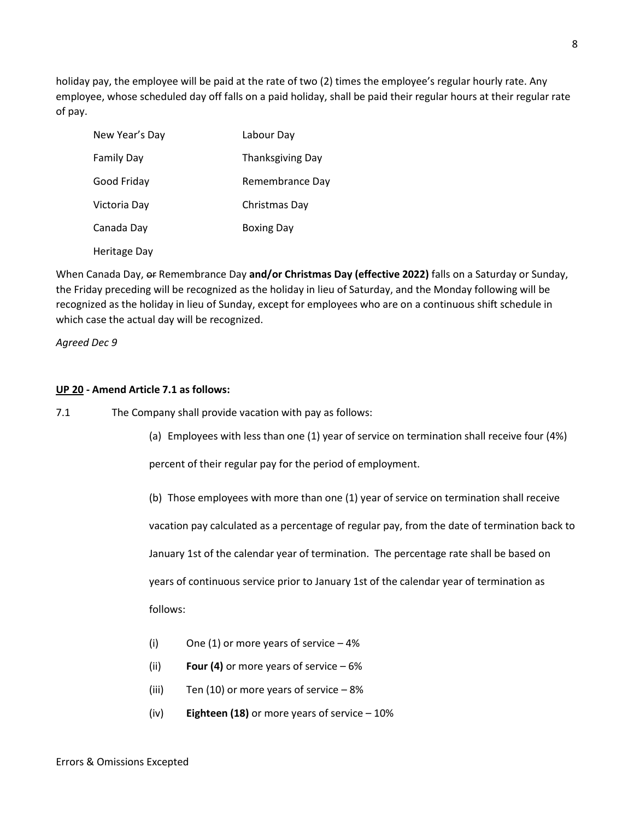holiday pay, the employee will be paid at the rate of two (2) times the employee's regular hourly rate. Any employee, whose scheduled day off falls on a paid holiday, shall be paid their regular hours at their regular rate of pay.

| New Year's Day | Labour Day              |
|----------------|-------------------------|
| Family Day     | <b>Thanksgiving Day</b> |
| Good Friday    | Remembrance Day         |
| Victoria Day   | Christmas Day           |
| Canada Day     | <b>Boxing Day</b>       |
| Heritage Day   |                         |

When Canada Day, or Remembrance Day **and/or Christmas Day (effective 2022)** falls on a Saturday or Sunday, the Friday preceding will be recognized as the holiday in lieu of Saturday, and the Monday following will be recognized as the holiday in lieu of Sunday, except for employees who are on a continuous shift schedule in which case the actual day will be recognized.

*Agreed Dec 9*

## **UP 20 - Amend Article 7.1 as follows:**

7.1 The Company shall provide vacation with pay as follows:

(a) Employees with less than one (1) year of service on termination shall receive four (4%)

percent of their regular pay for the period of employment.

(b) Those employees with more than one (1) year of service on termination shall receive

vacation pay calculated as a percentage of regular pay, from the date of termination back to

January 1st of the calendar year of termination. The percentage rate shall be based on

years of continuous service prior to January 1st of the calendar year of termination as

follows:

- (i) One (1) or more years of service  $-4\%$
- (ii) **Four (4)** or more years of service 6%
- (iii) Ten (10) or more years of service  $-8\%$
- (iv) **Eighteen (18)** or more years of service 10%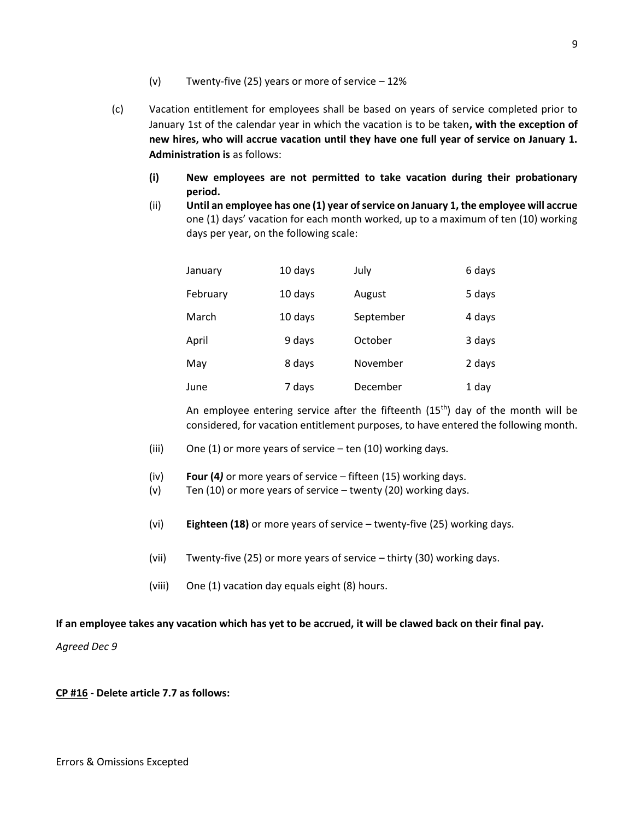- (v) Twenty-five (25) years or more of service 12%
- (c) Vacation entitlement for employees shall be based on years of service completed prior to January 1st of the calendar year in which the vacation is to be taken**, with the exception of new hires, who will accrue vacation until they have one full year of service on January 1. Administration is** as follows:
	- **(i) New employees are not permitted to take vacation during their probationary period.**
	- (ii) **Until an employee has one (1) year of service on January 1, the employee will accrue**  one (1) days' vacation for each month worked, up to a maximum of ten (10) working days per year, on the following scale:

| January  | 10 days | July      | 6 days |
|----------|---------|-----------|--------|
| February | 10 days | August    | 5 days |
| March    | 10 days | September | 4 days |
| April    | 9 days  | October   | 3 days |
| May      | 8 days  | November  | 2 days |
| June     | 7 days  | December  | 1 day  |

An employee entering service after the fifteenth  $(15<sup>th</sup>)$  day of the month will be considered, for vacation entitlement purposes, to have entered the following month.

- (iii) One (1) or more years of service  $-$  ten (10) working days.
- (iv) **Four (4***)* or more years of service fifteen (15) working days.
- (v) Ten (10) or more years of service twenty (20) working days.
- (vi) **Eighteen (18)** or more years of service twenty-five (25) working days.
- (vii) Twenty-five (25) or more years of service thirty (30) working days.
- (viii) One (1) vacation day equals eight (8) hours.

## **If an employee takes any vacation which has yet to be accrued, it will be clawed back on their final pay.**

*Agreed Dec 9*

## **CP #16 - Delete article 7.7 as follows:**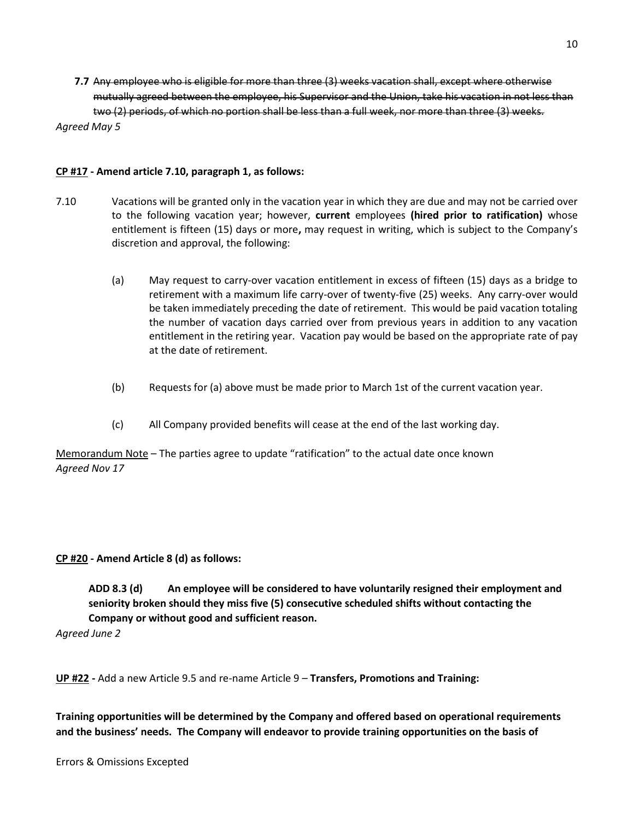**7.7** Any employee who is eligible for more than three (3) weeks vacation shall, except where otherwise mutually agreed between the employee, his Supervisor and the Union, take his vacation in not less than two (2) periods, of which no portion shall be less than a full week, nor more than three (3) weeks. *Agreed May 5*

#### **CP #17 - Amend article 7.10, paragraph 1, as follows:**

- 7.10 Vacations will be granted only in the vacation year in which they are due and may not be carried over to the following vacation year; however, **current** employees **(hired prior to ratification)** whose entitlement is fifteen (15) days or more**,** may request in writing, which is subject to the Company's discretion and approval, the following:
	- (a) May request to carry-over vacation entitlement in excess of fifteen (15) days as a bridge to retirement with a maximum life carry-over of twenty-five (25) weeks. Any carry-over would be taken immediately preceding the date of retirement. This would be paid vacation totaling the number of vacation days carried over from previous years in addition to any vacation entitlement in the retiring year. Vacation pay would be based on the appropriate rate of pay at the date of retirement.
	- (b) Requests for (a) above must be made prior to March 1st of the current vacation year.
	- (c) All Company provided benefits will cease at the end of the last working day.

Memorandum Note – The parties agree to update "ratification" to the actual date once known *Agreed Nov 17*

## **CP #20 - Amend Article 8 (d) as follows:**

**ADD 8.3 (d) An employee will be considered to have voluntarily resigned their employment and seniority broken should they miss five (5) consecutive scheduled shifts without contacting the Company or without good and sufficient reason.**

*Agreed June 2*

**UP #22 -** Add a new Article 9.5 and re-name Article 9 – **Transfers, Promotions and Training:**

**Training opportunities will be determined by the Company and offered based on operational requirements and the business' needs. The Company will endeavor to provide training opportunities on the basis of**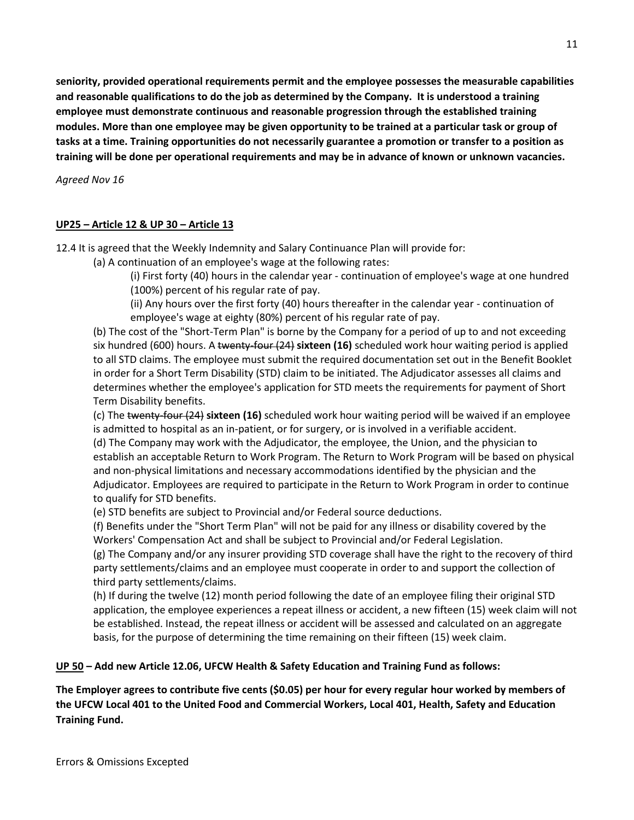**seniority, provided operational requirements permit and the employee possesses the measurable capabilities and reasonable qualifications to do the job as determined by the Company. It is understood a training employee must demonstrate continuous and reasonable progression through the established training modules. More than one employee may be given opportunity to be trained at a particular task or group of tasks at a time. Training opportunities do not necessarily guarantee a promotion or transfer to a position as training will be done per operational requirements and may be in advance of known or unknown vacancies.**

*Agreed Nov 16*

## **UP25 – Article 12 & UP 30 – Article 13**

12.4 It is agreed that the Weekly Indemnity and Salary Continuance Plan will provide for:

(a) A continuation of an employee's wage at the following rates:

(i) First forty (40) hours in the calendar year - continuation of employee's wage at one hundred (100%) percent of his regular rate of pay.

(ii) Any hours over the first forty (40) hours thereafter in the calendar year - continuation of employee's wage at eighty (80%) percent of his regular rate of pay.

(b) The cost of the "Short-Term Plan" is borne by the Company for a period of up to and not exceeding six hundred (600) hours. A twenty-four (24) **sixteen (16)** scheduled work hour waiting period is applied to all STD claims. The employee must submit the required documentation set out in the Benefit Booklet in order for a Short Term Disability (STD) claim to be initiated. The Adjudicator assesses all claims and determines whether the employee's application for STD meets the requirements for payment of Short Term Disability benefits.

(c) The twenty-four (24) **sixteen (16)** scheduled work hour waiting period will be waived if an employee is admitted to hospital as an in-patient, or for surgery, or is involved in a verifiable accident. (d) The Company may work with the Adjudicator, the employee, the Union, and the physician to establish an acceptable Return to Work Program. The Return to Work Program will be based on physical and non-physical limitations and necessary accommodations identified by the physician and the Adjudicator. Employees are required to participate in the Return to Work Program in order to continue to qualify for STD benefits.

(e) STD benefits are subject to Provincial and/or Federal source deductions.

(f) Benefits under the "Short Term Plan" will not be paid for any illness or disability covered by the Workers' Compensation Act and shall be subject to Provincial and/or Federal Legislation.

(g) The Company and/or any insurer providing STD coverage shall have the right to the recovery of third party settlements/claims and an employee must cooperate in order to and support the collection of third party settlements/claims.

(h) If during the twelve (12) month period following the date of an employee filing their original STD application, the employee experiences a repeat illness or accident, a new fifteen (15) week claim will not be established. Instead, the repeat illness or accident will be assessed and calculated on an aggregate basis, for the purpose of determining the time remaining on their fifteen (15) week claim.

## **UP 50 – Add new Article 12.06, UFCW Health & Safety Education and Training Fund as follows:**

**The Employer agrees to contribute five cents (\$0.05) per hour for every regular hour worked by members of the UFCW Local 401 to the United Food and Commercial Workers, Local 401, Health, Safety and Education Training Fund.**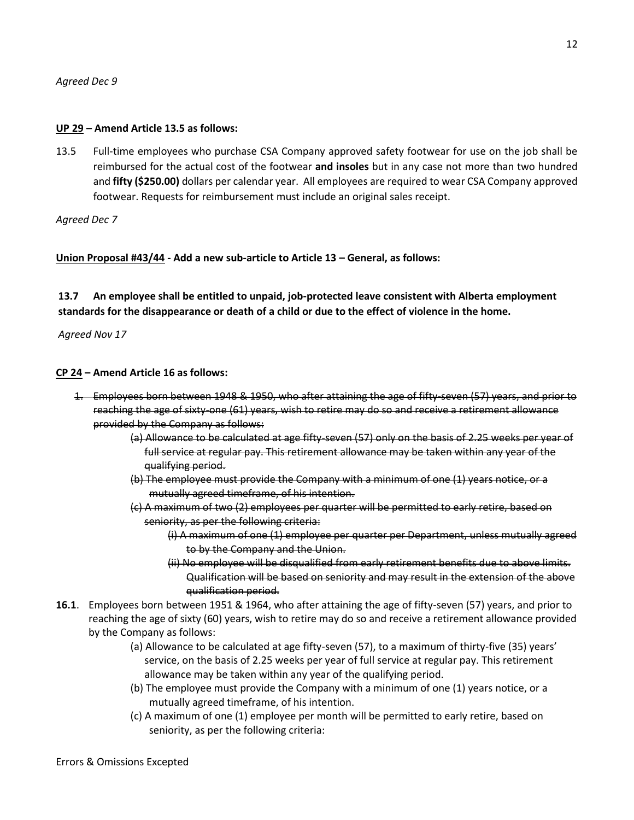## **UP 29 – Amend Article 13.5 as follows:**

13.5 Full-time employees who purchase CSA Company approved safety footwear for use on the job shall be reimbursed for the actual cost of the footwear **and insoles** but in any case not more than two hundred and **fifty (\$250.00)** dollars per calendar year. All employees are required to wear CSA Company approved footwear. Requests for reimbursement must include an original sales receipt.

*Agreed Dec 7*

**Union Proposal #43/44 - Add a new sub-article to Article 13 – General, as follows:**

**13.7 An employee shall be entitled to unpaid, job-protected leave consistent with Alberta employment standards for the disappearance or death of a child or due to the effect of violence in the home.**

*Agreed Nov 17*

## **CP 24 – Amend Article 16 as follows:**

- 1. Employees born between 1948 & 1950, who after attaining the age of fifty-seven (57) years, and prior to reaching the age of sixty-one (61) years, wish to retire may do so and receive a retirement allowance provided by the Company as follows:
	- (a) Allowance to be calculated at age fifty-seven (57) only on the basis of 2.25 weeks per year of full service at regular pay. This retirement allowance may be taken within any year of the qualifying period.
	- (b) The employee must provide the Company with a minimum of one (1) years notice, or a mutually agreed timeframe, of his intention.
	- (c) A maximum of two (2) employees per quarter will be permitted to early retire, based on seniority, as per the following criteria:
		- (i) A maximum of one (1) employee per quarter per Department, unless mutually agreed to by the Company and the Union.
		- (ii) No employee will be disqualified from early retirement benefits due to above limits. Qualification will be based on seniority and may result in the extension of the above qualification period.
- **16.1**. Employees born between 1951 & 1964, who after attaining the age of fifty-seven (57) years, and prior to reaching the age of sixty (60) years, wish to retire may do so and receive a retirement allowance provided by the Company as follows:
	- (a) Allowance to be calculated at age fifty-seven (57), to a maximum of thirty-five (35) years' service, on the basis of 2.25 weeks per year of full service at regular pay. This retirement allowance may be taken within any year of the qualifying period.
	- (b) The employee must provide the Company with a minimum of one (1) years notice, or a mutually agreed timeframe, of his intention.
	- (c) A maximum of one (1) employee per month will be permitted to early retire, based on seniority, as per the following criteria: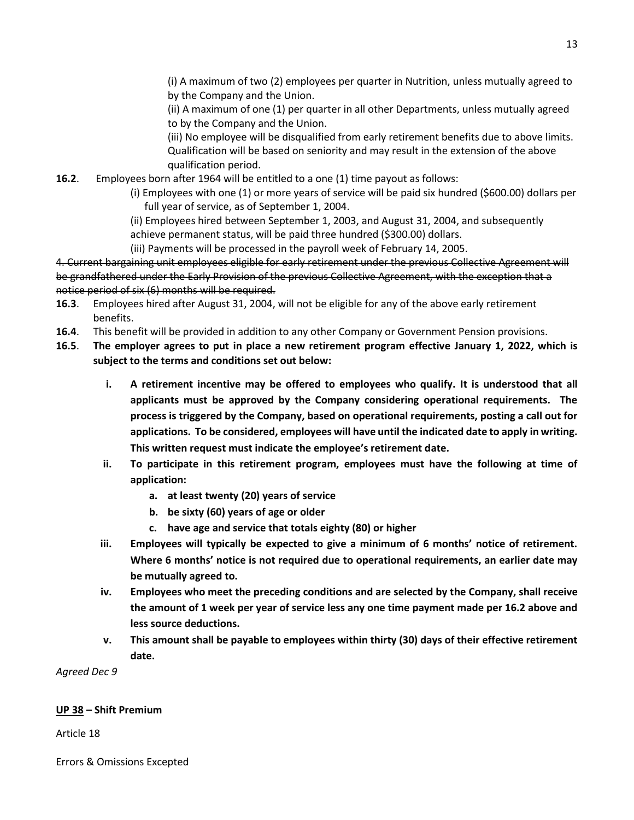(i) A maximum of two (2) employees per quarter in Nutrition, unless mutually agreed to by the Company and the Union.

(ii) A maximum of one (1) per quarter in all other Departments, unless mutually agreed to by the Company and the Union.

(iii) No employee will be disqualified from early retirement benefits due to above limits. Qualification will be based on seniority and may result in the extension of the above qualification period.

- **16.2**. Employees born after 1964 will be entitled to a one (1) time payout as follows:
	- (i) Employees with one (1) or more years of service will be paid six hundred (\$600.00) dollars per full year of service, as of September 1, 2004.
	- (ii) Employees hired between September 1, 2003, and August 31, 2004, and subsequently
	- achieve permanent status, will be paid three hundred (\$300.00) dollars.
	- (iii) Payments will be processed in the payroll week of February 14, 2005.

4. Current bargaining unit employees eligible for early retirement under the previous Collective Agreement will be grandfathered under the Early Provision of the previous Collective Agreement, with the exception that a notice period of six (6) months will be required.

- **16.3**. Employees hired after August 31, 2004, will not be eligible for any of the above early retirement benefits.
- **16.4**. This benefit will be provided in addition to any other Company or Government Pension provisions.
- **16.5**. **The employer agrees to put in place a new retirement program effective January 1, 2022, which is subject to the terms and conditions set out below:**
	- **i. A retirement incentive may be offered to employees who qualify. It is understood that all applicants must be approved by the Company considering operational requirements. The process is triggered by the Company, based on operational requirements, posting a call out for applications. To be considered, employees will have until the indicated date to apply in writing. This written request must indicate the employee's retirement date.**
	- **ii. To participate in this retirement program, employees must have the following at time of application:**
		- **a. at least twenty (20) years of service**
		- **b. be sixty (60) years of age or older**
		- **c. have age and service that totals eighty (80) or higher**
	- **iii. Employees will typically be expected to give a minimum of 6 months' notice of retirement. Where 6 months' notice is not required due to operational requirements, an earlier date may be mutually agreed to.**
	- **iv. Employees who meet the preceding conditions and are selected by the Company, shall receive the amount of 1 week per year of service less any one time payment made per 16.2 above and less source deductions.**
	- **v. This amount shall be payable to employees within thirty (30) days of their effective retirement date.**

*Agreed Dec 9*

## **UP 38 – Shift Premium**

Article 18

Errors & Omissions Excepted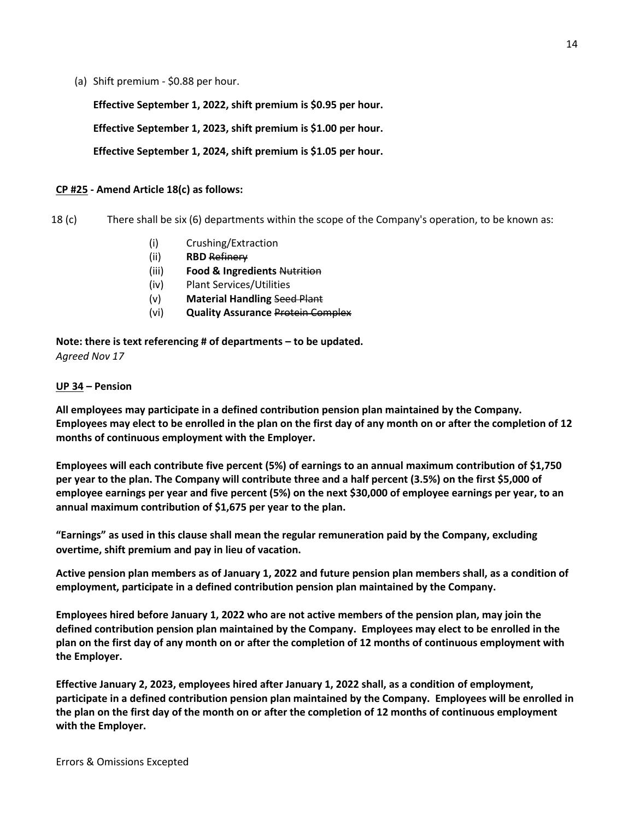(a) Shift premium - \$0.88 per hour.

**Effective September 1, 2022, shift premium is \$0.95 per hour.**

**Effective September 1, 2023, shift premium is \$1.00 per hour.**

## **Effective September 1, 2024, shift premium is \$1.05 per hour.**

## **CP #25 - Amend Article 18(c) as follows:**

18 (c) There shall be six (6) departments within the scope of the Company's operation, to be known as:

- (i) Crushing/Extraction
- (ii) **RBD** Refinery
- (iii) **Food & Ingredients** Nutrition
- (iv) Plant Services/Utilities
- (v) **Material Handling** Seed Plant
- (vi) **Quality Assurance** Protein Complex

**Note: there is text referencing # of departments – to be updated.** *Agreed Nov 17*

#### **UP 34 – Pension**

**All employees may participate in a defined contribution pension plan maintained by the Company. Employees may elect to be enrolled in the plan on the first day of any month on or after the completion of 12 months of continuous employment with the Employer.**

**Employees will each contribute five percent (5%) of earnings to an annual maximum contribution of \$1,750 per year to the plan. The Company will contribute three and a half percent (3.5%) on the first \$5,000 of employee earnings per year and five percent (5%) on the next \$30,000 of employee earnings per year, to an annual maximum contribution of \$1,675 per year to the plan.**

**"Earnings" as used in this clause shall mean the regular remuneration paid by the Company, excluding overtime, shift premium and pay in lieu of vacation.**

**Active pension plan members as of January 1, 2022 and future pension plan members shall, as a condition of employment, participate in a defined contribution pension plan maintained by the Company.**

**Employees hired before January 1, 2022 who are not active members of the pension plan, may join the defined contribution pension plan maintained by the Company. Employees may elect to be enrolled in the plan on the first day of any month on or after the completion of 12 months of continuous employment with the Employer.**

**Effective January 2, 2023, employees hired after January 1, 2022 shall, as a condition of employment, participate in a defined contribution pension plan maintained by the Company. Employees will be enrolled in the plan on the first day of the month on or after the completion of 12 months of continuous employment with the Employer.**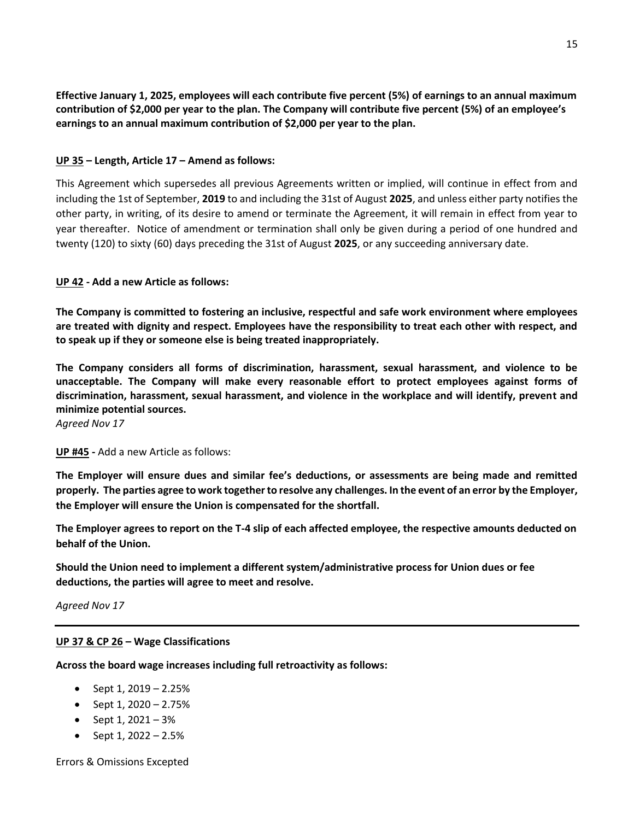**Effective January 1, 2025, employees will each contribute five percent (5%) of earnings to an annual maximum contribution of \$2,000 per year to the plan. The Company will contribute five percent (5%) of an employee's earnings to an annual maximum contribution of \$2,000 per year to the plan.**

## **UP 35 – Length, Article 17 – Amend as follows:**

This Agreement which supersedes all previous Agreements written or implied, will continue in effect from and including the 1st of September, **2019** to and including the 31st of August **2025**, and unless either party notifies the other party, in writing, of its desire to amend or terminate the Agreement, it will remain in effect from year to year thereafter. Notice of amendment or termination shall only be given during a period of one hundred and twenty (120) to sixty (60) days preceding the 31st of August **2025**, or any succeeding anniversary date.

## **UP 42 - Add a new Article as follows:**

**The Company is committed to fostering an inclusive, respectful and safe work environment where employees are treated with dignity and respect. Employees have the responsibility to treat each other with respect, and to speak up if they or someone else is being treated inappropriately.**

**The Company considers all forms of discrimination, harassment, sexual harassment, and violence to be unacceptable. The Company will make every reasonable effort to protect employees against forms of discrimination, harassment, sexual harassment, and violence in the workplace and will identify, prevent and minimize potential sources.**

*Agreed Nov 17*

**UP #45 -** Add a new Article as follows:

**The Employer will ensure dues and similar fee's deductions, or assessments are being made and remitted properly. The parties agree to work together to resolve any challenges. In the event of an error by the Employer, the Employer will ensure the Union is compensated for the shortfall.**

**The Employer agrees to report on the T-4 slip of each affected employee, the respective amounts deducted on behalf of the Union.**

**Should the Union need to implement a different system/administrative process for Union dues or fee deductions, the parties will agree to meet and resolve.**

*Agreed Nov 17*

## **UP 37 & CP 26 – Wage Classifications**

**Across the board wage increases including full retroactivity as follows:**

- Sept  $1, 2019 2.25%$
- Sept  $1, 2020 2.75%$
- Sept  $1, 2021 3%$
- Sept  $1, 2022 2.5%$

Errors & Omissions Excepted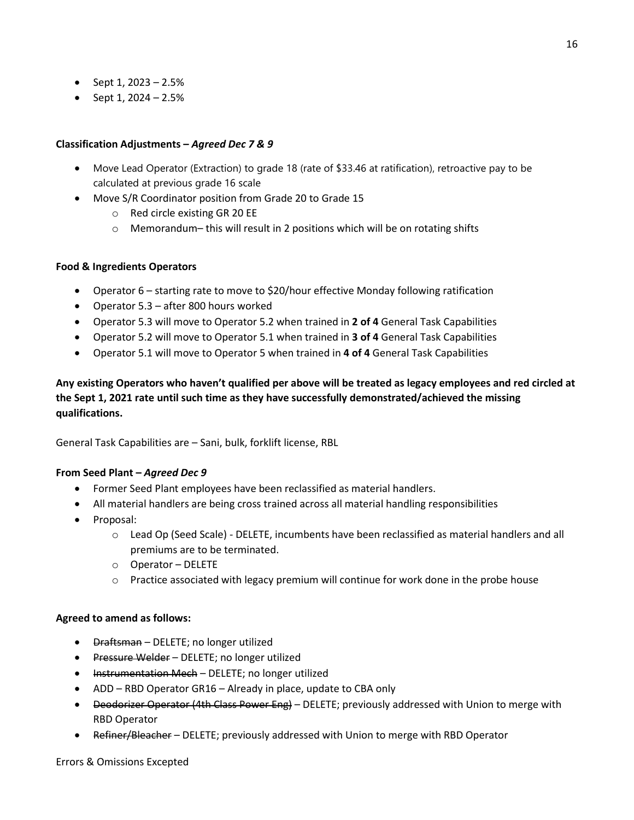- Sept  $1, 2023 2.5%$
- $\bullet$  Sept 1, 2024 2.5%

## **Classification Adjustments –** *Agreed Dec 7 & 9*

- Move Lead Operator (Extraction) to grade 18 (rate of \$33.46 at ratification), retroactive pay to be calculated at previous grade 16 scale
- Move S/R Coordinator position from Grade 20 to Grade 15
	- o Red circle existing GR 20 EE
	- $\circ$  Memorandum– this will result in 2 positions which will be on rotating shifts

## **Food & Ingredients Operators**

- Operator 6 starting rate to move to \$20/hour effective Monday following ratification
- Operator 5.3 after 800 hours worked
- Operator 5.3 will move to Operator 5.2 when trained in **2 of 4** General Task Capabilities
- Operator 5.2 will move to Operator 5.1 when trained in **3 of 4** General Task Capabilities
- Operator 5.1 will move to Operator 5 when trained in **4 of 4** General Task Capabilities

**Any existing Operators who haven't qualified per above will be treated as legacy employees and red circled at the Sept 1, 2021 rate until such time as they have successfully demonstrated/achieved the missing qualifications.**

General Task Capabilities are – Sani, bulk, forklift license, RBL

## **From Seed Plant –** *Agreed Dec 9*

- Former Seed Plant employees have been reclassified as material handlers.
- All material handlers are being cross trained across all material handling responsibilities
- Proposal:
	- o Lead Op (Seed Scale) DELETE, incumbents have been reclassified as material handlers and all premiums are to be terminated.
	- o Operator DELETE
	- $\circ$  Practice associated with legacy premium will continue for work done in the probe house

## **Agreed to amend as follows:**

- Draftsman DELETE; no longer utilized
- **•** Pressure Welder DELETE; no longer utilized
- Instrumentation Mech DELETE; no longer utilized
- ADD RBD Operator GR16 Already in place, update to CBA only
- Deodorizer Operator (4th Class Power Eng) DELETE; previously addressed with Union to merge with RBD Operator
- Refiner/Bleacher DELETE; previously addressed with Union to merge with RBD Operator

#### Errors & Omissions Excepted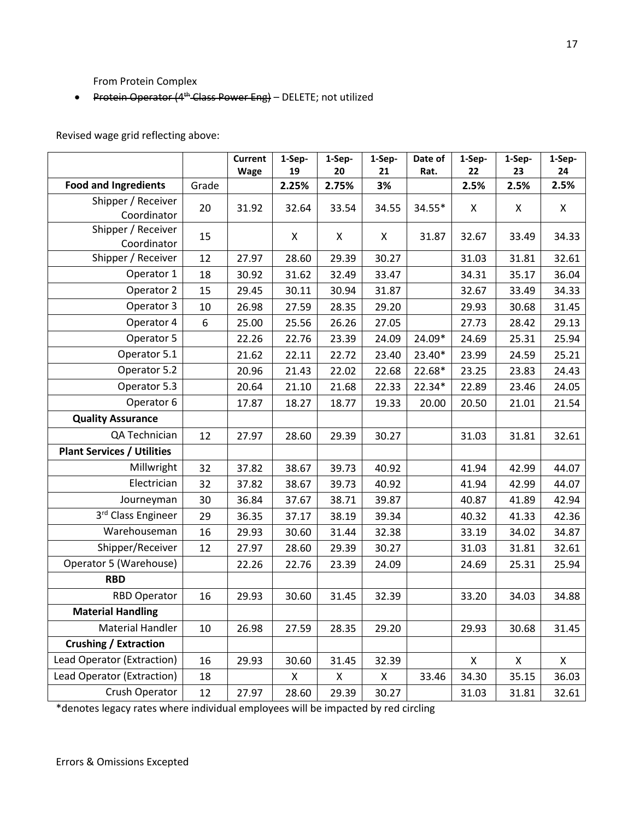From Protein Complex

• Protein Operator (4<sup>th</sup> Class Power Eng) - DELETE; not utilized

Revised wage grid reflecting above:

|                                   |       | <b>Current</b><br>Wage | 1-Sep-<br>19 | 1-Sep-<br>20 | 1-Sep-<br>21 | Date of<br>Rat. | 1-Sep-<br>22 | 1-Sep-<br>23 | 1-Sep-<br>24 |
|-----------------------------------|-------|------------------------|--------------|--------------|--------------|-----------------|--------------|--------------|--------------|
| <b>Food and Ingredients</b>       | Grade |                        | 2.25%        | 2.75%        | 3%           |                 | 2.5%         | 2.5%         | 2.5%         |
| Shipper / Receiver<br>Coordinator | 20    | 31.92                  | 32.64        | 33.54        | 34.55        | 34.55*          | X            | X            | X            |
| Shipper / Receiver<br>Coordinator | 15    |                        | X            | X            | X            | 31.87           | 32.67        | 33.49        | 34.33        |
| Shipper / Receiver                | 12    | 27.97                  | 28.60        | 29.39        | 30.27        |                 | 31.03        | 31.81        | 32.61        |
| Operator 1                        | 18    | 30.92                  | 31.62        | 32.49        | 33.47        |                 | 34.31        | 35.17        | 36.04        |
| Operator 2                        | 15    | 29.45                  | 30.11        | 30.94        | 31.87        |                 | 32.67        | 33.49        | 34.33        |
| Operator 3                        | 10    | 26.98                  | 27.59        | 28.35        | 29.20        |                 | 29.93        | 30.68        | 31.45        |
| Operator 4                        | 6     | 25.00                  | 25.56        | 26.26        | 27.05        |                 | 27.73        | 28.42        | 29.13        |
| Operator 5                        |       | 22.26                  | 22.76        | 23.39        | 24.09        | 24.09*          | 24.69        | 25.31        | 25.94        |
| Operator 5.1                      |       | 21.62                  | 22.11        | 22.72        | 23.40        | 23.40*          | 23.99        | 24.59        | 25.21        |
| Operator 5.2                      |       | 20.96                  | 21.43        | 22.02        | 22.68        | 22.68*          | 23.25        | 23.83        | 24.43        |
| Operator 5.3                      |       | 20.64                  | 21.10        | 21.68        | 22.33        | 22.34*          | 22.89        | 23.46        | 24.05        |
| Operator 6                        |       | 17.87                  | 18.27        | 18.77        | 19.33        | 20.00           | 20.50        | 21.01        | 21.54        |
| <b>Quality Assurance</b>          |       |                        |              |              |              |                 |              |              |              |
| QA Technician                     | 12    | 27.97                  | 28.60        | 29.39        | 30.27        |                 | 31.03        | 31.81        | 32.61        |
| <b>Plant Services / Utilities</b> |       |                        |              |              |              |                 |              |              |              |
| Millwright                        | 32    | 37.82                  | 38.67        | 39.73        | 40.92        |                 | 41.94        | 42.99        | 44.07        |
| Electrician                       | 32    | 37.82                  | 38.67        | 39.73        | 40.92        |                 | 41.94        | 42.99        | 44.07        |
| Journeyman                        | 30    | 36.84                  | 37.67        | 38.71        | 39.87        |                 | 40.87        | 41.89        | 42.94        |
| 3rd Class Engineer                | 29    | 36.35                  | 37.17        | 38.19        | 39.34        |                 | 40.32        | 41.33        | 42.36        |
| Warehouseman                      | 16    | 29.93                  | 30.60        | 31.44        | 32.38        |                 | 33.19        | 34.02        | 34.87        |
| Shipper/Receiver                  | 12    | 27.97                  | 28.60        | 29.39        | 30.27        |                 | 31.03        | 31.81        | 32.61        |
| Operator 5 (Warehouse)            |       | 22.26                  | 22.76        | 23.39        | 24.09        |                 | 24.69        | 25.31        | 25.94        |
| <b>RBD</b>                        |       |                        |              |              |              |                 |              |              |              |
| <b>RBD Operator</b>               | 16    | 29.93                  | 30.60        | 31.45        | 32.39        |                 | 33.20        | 34.03        | 34.88        |
| <b>Material Handling</b>          |       |                        |              |              |              |                 |              |              |              |
| <b>Material Handler</b>           | 10    | 26.98                  | 27.59        | 28.35        | 29.20        |                 | 29.93        | 30.68        | 31.45        |
| <b>Crushing / Extraction</b>      |       |                        |              |              |              |                 |              |              |              |
| Lead Operator (Extraction)        | 16    | 29.93                  | 30.60        | 31.45        | 32.39        |                 | X            | X            | X            |
| Lead Operator (Extraction)        | 18    |                        | X            | X            | X            | 33.46           | 34.30        | 35.15        | 36.03        |
| Crush Operator                    | 12    | 27.97                  | 28.60        | 29.39        | 30.27        |                 | 31.03        | 31.81        | 32.61        |

\*denotes legacy rates where individual employees will be impacted by red circling